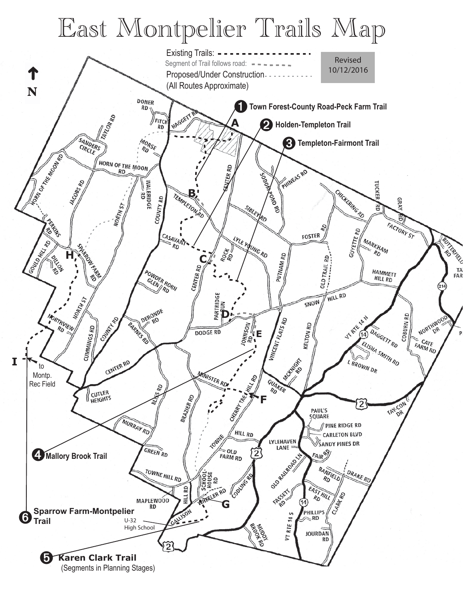## East Montpelier Trails Map